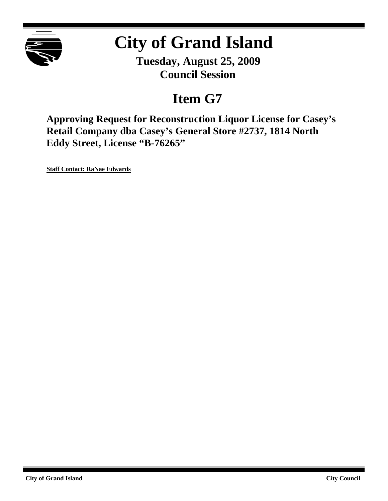

# **City of Grand Island**

**Tuesday, August 25, 2009 Council Session**

## **Item G7**

**Approving Request for Reconstruction Liquor License for Casey's Retail Company dba Casey's General Store #2737, 1814 North Eddy Street, License "B-76265"**

**Staff Contact: RaNae Edwards**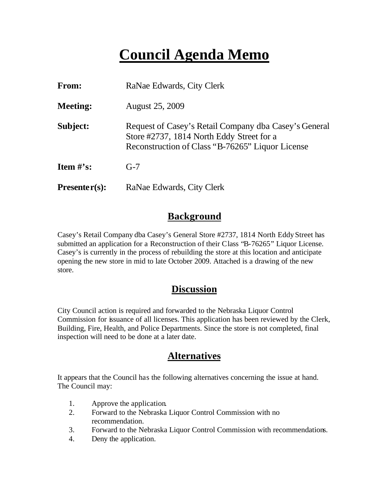## **Council Agenda Memo**

| From:           | RaNae Edwards, City Clerk                                                                                                                              |
|-----------------|--------------------------------------------------------------------------------------------------------------------------------------------------------|
| <b>Meeting:</b> | <b>August 25, 2009</b>                                                                                                                                 |
| Subject:        | Request of Casey's Retail Company dba Casey's General<br>Store #2737, 1814 North Eddy Street for a<br>Reconstruction of Class "B-76265" Liquor License |
| Item $\#$ 's:   | $G-7$                                                                                                                                                  |
| $Presenter(s):$ | RaNae Edwards, City Clerk                                                                                                                              |

#### **Background**

Casey's Retail Company dba Casey's General Store #2737, 1814 North Eddy Street has submitted an application for a Reconstruction of their Class "B-76265" Liquor License. Casey's is currently in the process of rebuilding the store at this location and anticipate opening the new store in mid to late October 2009. Attached is a drawing of the new store.

#### **Discussion**

City Council action is required and forwarded to the Nebraska Liquor Control Commission for issuance of all licenses. This application has been reviewed by the Clerk, Building, Fire, Health, and Police Departments. Since the store is not completed, final inspection will need to be done at a later date.

#### **Alternatives**

It appears that the Council has the following alternatives concerning the issue at hand. The Council may:

- 1. Approve the application.
- 2. Forward to the Nebraska Liquor Control Commission with no recommendation.
- 3. Forward to the Nebraska Liquor Control Commission with recommendations.
- 4. Deny the application.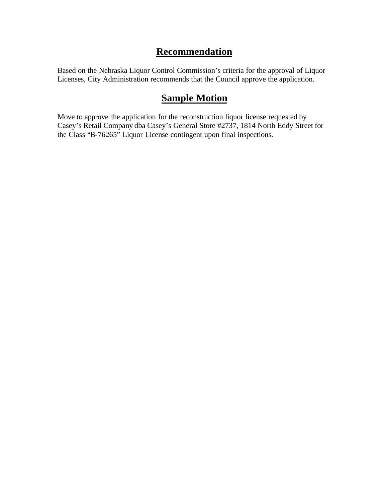#### **Recommendation**

Based on the Nebraska Liquor Control Commission's criteria for the approval of Liquor Licenses, City Administration recommends that the Council approve the application.

### **Sample Motion**

Move to approve the application for the reconstruction liquor license requested by Casey's Retail Company dba Casey's General Store #2737, 1814 North Eddy Street for the Class "B-76265" Liquor License contingent upon final inspections.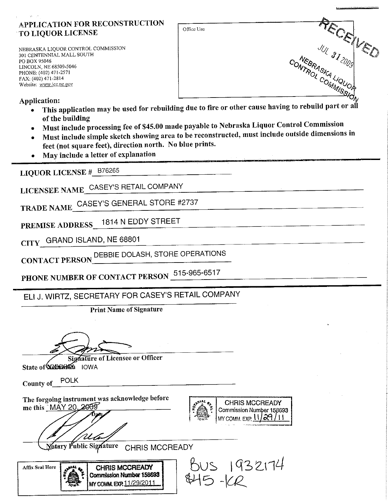#### APPLICATION FOR RECONSTRUCTION **TO LIQUOR LICENSE**

NEBRASKA LIQUOR CONTROL COMMISSION 301 CENTENNIAL MALL SOUTH PO BOX 95046 LINCOLN, NE 68509-5046 PHONE: (402) 471-2571 FAX: (402) 471-2814 Website: www.lcc.ne.gov

RECEVED NEBRASKA LIQUOR CONTROL COMMISSIE

Application:

This application may be used for rebuilding due to fire or other cause having to rebuild part or all of the building

Office Use

- Must include processing fee of \$45.00 made payable to Nebraska Liquor Control Commission
- Must include simple sketch showing area to be reconstructed, must include outside dimensions in feet (not square feet), direction north. No blue prints.
- May include a letter of explanation

LIQUOR LICENSE # B76265

LICENSEE NAME CASEY'S RETAIL COMPANY

TRADE NAME CASEY'S GENERAL STORE #2737

1814 N EDDY STREET PREMISE ADDRESS

CITY GRAND ISLAND, NE 68801

DEBBIE DOLASH, STORE OPERATIONS **CONTACT PERSON** 

PHONE NUMBER OF CONTACT PERSON 515-965-6517

ELI J. WIRTZ, SECRETARY FOR CASEY'S RETAIL COMPANY

**Print Name of Signature** 

**Signature of Licensee or Officer** 

County of POLK

The forgoing instrument was acknowledge before me this "MAY 20. 2009





Motary Public Signature **CHRIS MCCREADY** 



**CHRIS MCCREADY** Commission Number 158693 MY COMM. EXP. 11/29/2011